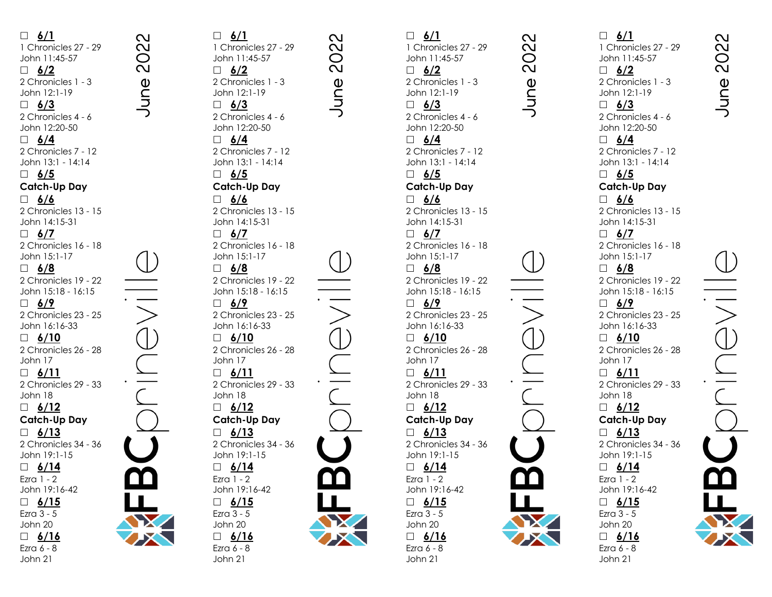**6/1** 1 Chronicles 27 - 29 John 11:45 -57 **6/2** 2 Chronicles 1 - 3 John 12:1 -19 **6/3** 2 Chronicles 4 - 6 John 12:20 -50 **6/4** 2 Chronicles 7 - 12 John 13:1 - 14:14 **6/5 Catch -Up Day 6/6** 2 Chronicles 13 - 15 John 14:15 -31 **6/7** 2 Chronicles 16 - 18 John 15:1 -17 **6/8** 2 Chronicles 19 - 22 John 15:18 - 16:15 **6/9** 2 Chronicles 23 - 25 John 16:16 -33 **6/10** 2 Chronicles 26 - 28 John 17 **6/11** 2 Chronicles 29 - 33 John 18 **6/12 Catch -Up Day 6/13** 2 Chronicles 34 - 36 John 19:1 -15 **6/14** Ezra 1 - 2 John 19:16 -42 **6/15** Ezra 3 - 5 John 20 **6/16** Ezra 6 - 8 John 21

 **6/1**  $\mathbf{\Omega}$  $\overline{M}$  $\bigcirc$  $\overline{\mathsf{C}}$  **6/2** June **6/3 6/4 6/5 6/6 6/7 6/8 6/9** John 17 John 18 Ezra 1 - 2 Ezra 3 - 5 John 20 Ezra 6 - 8 John 21

 $\mathbf{\Omega}$  $\overline{\mathsf{C}}$ 1 Chronicles 27 - 29 John 11:45 -57  $\bigcirc$  $\overline{\mathsf{C}}$ une 2 Chronicles 1 - 3 John 12:1 -19 2 Chronicles 4 - 6 John 12:20 -50 2 Chronicles 7 - 12 John 13:1 - 14:14 **Catch -Up Day** 2 Chronicles 13 - 15 John 14:15 -31 2 Chronicles 16 - 18 John 15:1 -17 2 Chronicles 19 - 22 John 15:18 - 16:15 2 Chronicles 23 - 25 John 16:16 -33 **6/10** 2 Chronicles 26 - 28 **6/11** 2 Chronicles 29 - 33 **6/12 Catch -Up Day 6/13** 2 Chronicles 34 - 36 John 19:1 -15 **6/14** John 19:16 -42 **6/15 6/16**

 **6/1** 1 Chronicles 27 - 29 John 11:45 -57 **6/2** 2 Chronicles 1 - 3 John 12:1 -19 **6/3** 2 Chronicles 4 - 6 John 12:20 -50 **6/4** 2 Chronicles 7 - 12 John 13:1 - 14:14 **6/5 Catch -Up Day 6/6** 2 Chronicles 13 - 15 John 14:15 -31 **6/7** 2 Chronicles 16 - 18 John 15:1 -17 **6/8** 2 Chronicles 19 - 22 John 15:18 - 16:15 **6/9** 2 Chronicles 23 - 25 John 16:16 -33 **6/10** 2 Chronicles 26 - 28 John 17 **6/11** 2 Chronicles 29 - 33 John 18 **6/12 Catch -Up Day 6/13** 2 Chronicles 34 - 36 John 19:1 -15 **6/14** Ezra 1 - 2 John 19:16 -42 **6/15** Ezra 3 - 5 John 20 **6/16** Ezra 6 - 8 John 21

 $\mathbf{\Omega}$ 

 $\overline{N}$ 

 $\circ$ 

 $\overline{\mathsf{N}}$ 

June

 **6/1** 1 Chronicles 27 - 29 John 11:45 -57 **6/2** 2 Chronicles 1 - 3 John 12:1 -19 **6/3** 2 Chronicles 4 - 6 John 12:20 -50 **6/4** 2 Chronicles 7 - 12 John 13:1 - 14:14 **6/5 Catch -Up Day 6/6** 2 Chronicles 13 - 15 John 14:15 -31 **6/7** 2 Chronicles 16 - 18 John 15:1 -17 **6/8** 2 Chronicles 19 - 22 John 15:18 - 16:15 **6/9** 2 Chronicles 23 - 25 John 16:16 -33 **6/10** 2 Chronicles 26 - 28 John 17 **6/11** 2 Chronicles 29 - 33 John 18 **6/12 Catch -Up Day 6/13** 2 Chronicles 34 - 36 John 19:1 -15 **6/14** Ezra 1 - 2 John 19:16 -42 **6/15** Ezra 3 - 5 John 20 **6/16** Ezra 6 - 8 John 21

 $\mathbf{\Omega}$ 

 $\overline{M}$ **OC** 

June